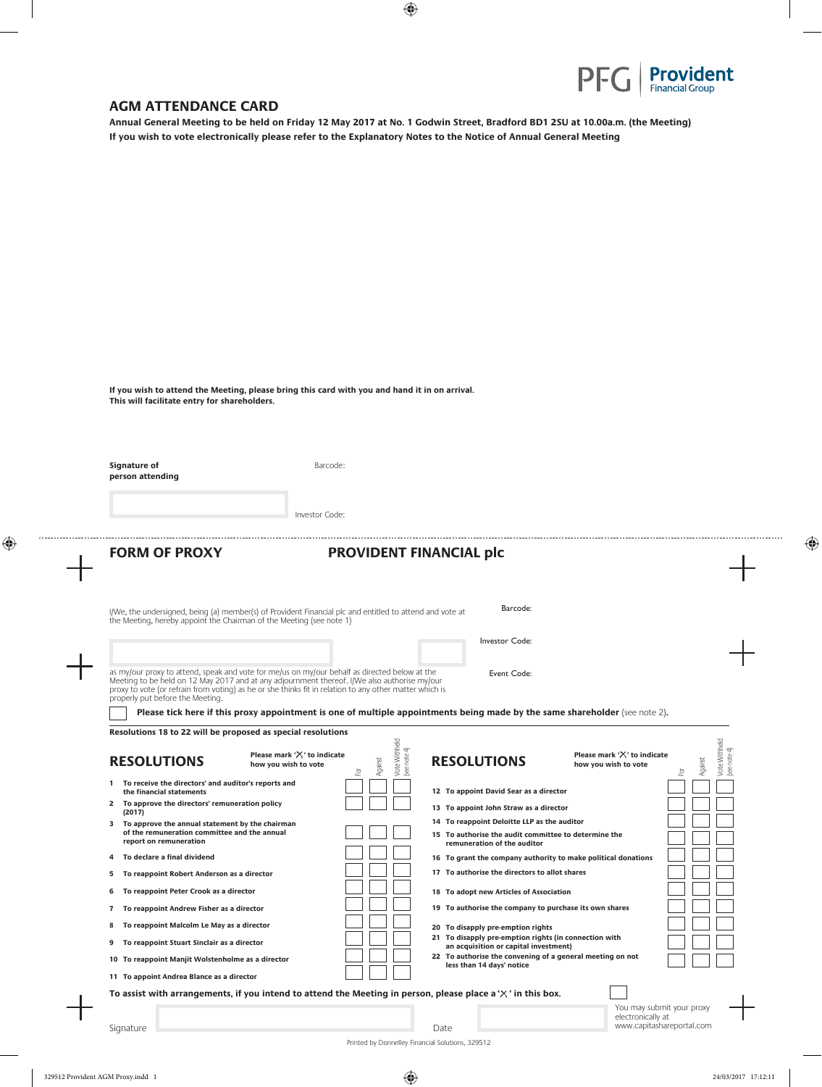

 $\overline{1}$ 

⊕

## **AGM ATTENDANCE CARD**

**Annual General Meeting to be held on Friday 12 May 2017 at No. 1 Godwin Street, Bradford BD1 2SU at 10.00a.m. (the Meeting) If you wish to vote electronically please refer to the Explanatory Notes to the Notice of Annual General Meeting**

 $\bigoplus$ 

**If you wish to attend the Meeting, please bring this card with you and hand it in on arrival. This will facilitate entry for shareholders.**

| Signature of<br>person attending                                                                                                                                                                                                  | Barcode:                                                                                                                                                                                                                                                                              |
|-----------------------------------------------------------------------------------------------------------------------------------------------------------------------------------------------------------------------------------|---------------------------------------------------------------------------------------------------------------------------------------------------------------------------------------------------------------------------------------------------------------------------------------|
|                                                                                                                                                                                                                                   | Investor Code:                                                                                                                                                                                                                                                                        |
| <b>FORM OF PROXY</b>                                                                                                                                                                                                              | <b>PROVIDENT FINANCIAL plc</b>                                                                                                                                                                                                                                                        |
| the Meeting, hereby appoint the Chairman of the Meeting (see note 1)                                                                                                                                                              | Barcode:<br>I/We, the undersigned, being (a) member(s) of Provident Financial plc and entitled to attend and vote at                                                                                                                                                                  |
|                                                                                                                                                                                                                                   | Investor Code:                                                                                                                                                                                                                                                                        |
| as my/our proxy to attend, speak and vote for me/us on my/our behalf as directed below at the<br>Meeting to be held on 12 May 2017 and at any adjournment thereof. I/We also authorise my/our<br>properly put before the Meeting. | Event Code:<br>proxy to vote (or refrain from voting) as he or she thinks fit in relation to any other matter which is                                                                                                                                                                |
|                                                                                                                                                                                                                                   | Please tick here if this proxy appointment is one of multiple appointments being made by the same shareholder (see note 2).                                                                                                                                                           |
| <b>RESOLUTIONS</b><br>1 To receive the directors' and auditor's reports and<br>the financial statements                                                                                                                           | Vote Withheld<br>(see note 4)<br>Vote Withheld<br>(see note 4)<br>Please mark ' $\times$ ' to indicate<br>Please mark 'X' to indicate<br>Against<br><b>RESOLUTIONS</b><br>Against<br>how you wish to vote<br>how you wish to vote<br>호<br>호<br>12 To appoint David Sear as a director |
| 2 To approve the directors' remuneration policy<br>(2017)                                                                                                                                                                         | 13 To appoint John Straw as a director                                                                                                                                                                                                                                                |
| 3 To approve the annual statement by the chairman<br>of the remuneration committee and the annual<br>report on remuneration                                                                                                       | 14 To reappoint Deloitte LLP as the auditor<br>15 To authorise the audit committee to determine the<br>remuneration of the auditor                                                                                                                                                    |
| To declare a final dividend<br>4                                                                                                                                                                                                  | 16 To grant the company authority to make political donations                                                                                                                                                                                                                         |
| To reappoint Robert Anderson as a director<br>5.                                                                                                                                                                                  | 17 To authorise the directors to allot shares                                                                                                                                                                                                                                         |
| To reappoint Peter Crook as a director<br>6                                                                                                                                                                                       | 18 To adopt new Articles of Association                                                                                                                                                                                                                                               |
| To reappoint Andrew Fisher as a director<br>7                                                                                                                                                                                     | 19 To authorise the company to purchase its own shares                                                                                                                                                                                                                                |
| To reappoint Malcolm Le May as a director<br>8                                                                                                                                                                                    | 20 To disapply pre-emption rights<br>21 To disapply pre-emption rights (in connection with                                                                                                                                                                                            |
|                                                                                                                                                                                                                                   |                                                                                                                                                                                                                                                                                       |
| To reappoint Stuart Sinclair as a director<br>9                                                                                                                                                                                   | an acquisition or capital investment)                                                                                                                                                                                                                                                 |
| 10 To reappoint Manjit Wolstenholme as a director                                                                                                                                                                                 | 22 To authorise the convening of a general meeting on not<br>less than 14 days' notice                                                                                                                                                                                                |
| 11 To appoint Andrea Blance as a director                                                                                                                                                                                         |                                                                                                                                                                                                                                                                                       |
|                                                                                                                                                                                                                                   | To assist with arrangements, if you intend to attend the Meeting in person, please place a $\chi$ in this box.<br>You may submit your proxy                                                                                                                                           |